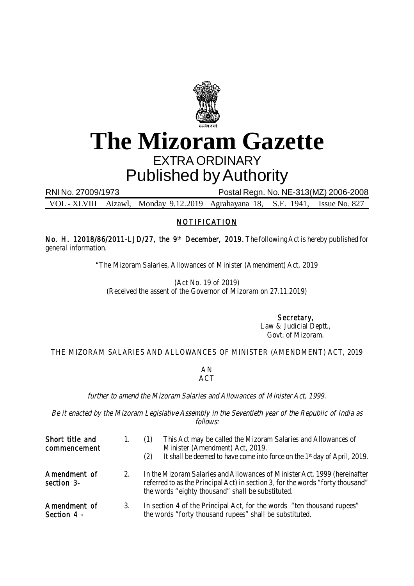

## **The Mizoram Gazette** EXTRA ORDINARY Published by Authority

RNI No. 27009/1973 Postal Regn. No. NE-313(MZ) 2006-2008

VOL - XLVIII Aizawl, Monday 9.12.2019 Agrahayana 18, S.E. 1941, Issue No. 827

## NOTIFICATION

No. H. 12018/86/2011-LJD/27, the 9<sup>th</sup> December, 2019. The following Act is hereby published for general information.

"The Mizoram Salaries, Allowances of Minister (Amendment) Act, 2019

(Act No. 19 of 2019) (Received the assent of the Governor of Mizoram on 27.11.2019)

> Secretary, Law & Judicial Deptt., Govt. of Mizoram.

THE MIZORAM SALARIES AND ALLOWANCES OF MINISTER (AMENDMENT) ACT, 2019

## AN ACT

further to amend the Mizoram Salaries and Allowances of Minister Act, 1999.

Be it enacted by the Mizoram Legislative Assembly in the Seventieth year of the Republic of India as follows:

| Short title and<br>commencement | 1. | This Act may be called the Mizoram Salaries and Allowances of<br>(1)<br>Minister (Amendment) Act, 2019.<br>It shall be deemed to have come into force on the 1 <sup>st</sup> day of April, 2019.<br>(2)          |
|---------------------------------|----|------------------------------------------------------------------------------------------------------------------------------------------------------------------------------------------------------------------|
| Amendment of<br>section 3-      | 2. | In the Mizoram Salaries and Allowances of Minister Act, 1999 (hereinafter<br>referred to as the Principal Act) in section 3, for the words "forty thousand"<br>the words "eighty thousand" shall be substituted. |
| Amendment of<br>Section 4 -     | 3. | In section 4 of the Principal Act, for the words "ten thousand rupees"<br>the words "forty thousand rupees" shall be substituted.                                                                                |